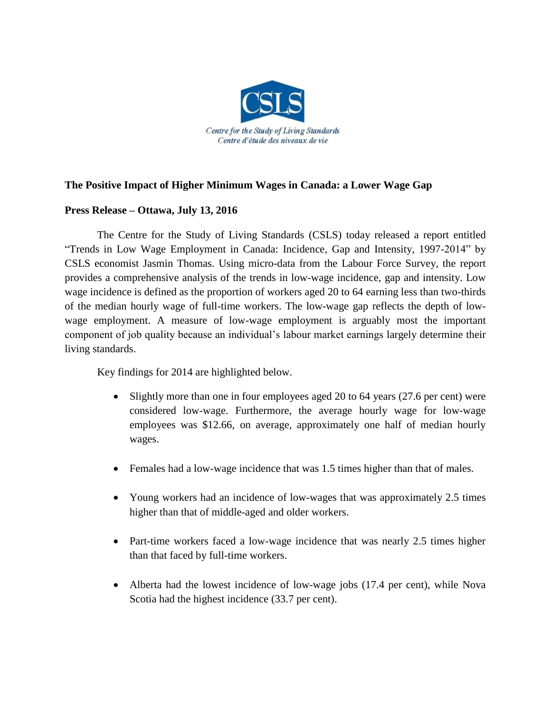

## **The Positive Impact of Higher Minimum Wages in Canada: a Lower Wage Gap**

## **Press Release – Ottawa, July 13, 2016**

The Centre for the Study of Living Standards (CSLS) today released a report entitled "Trends in Low Wage Employment in Canada: Incidence, Gap and Intensity, 1997-2014" by CSLS economist Jasmin Thomas. Using micro-data from the Labour Force Survey, the report provides a comprehensive analysis of the trends in low-wage incidence, gap and intensity. Low wage incidence is defined as the proportion of workers aged 20 to 64 earning less than two-thirds of the median hourly wage of full-time workers. The low-wage gap reflects the depth of lowwage employment. A measure of low-wage employment is arguably most the important component of job quality because an individual's labour market earnings largely determine their living standards.

Key findings for 2014 are highlighted below.

- Slightly more than one in four employees aged 20 to 64 years (27.6 per cent) were considered low-wage. Furthermore, the average hourly wage for low-wage employees was \$12.66, on average, approximately one half of median hourly wages.
- Females had a low-wage incidence that was 1.5 times higher than that of males.
- Young workers had an incidence of low-wages that was approximately 2.5 times higher than that of middle-aged and older workers.
- Part-time workers faced a low-wage incidence that was nearly 2.5 times higher than that faced by full-time workers.
- Alberta had the lowest incidence of low-wage jobs (17.4 per cent), while Nova Scotia had the highest incidence (33.7 per cent).